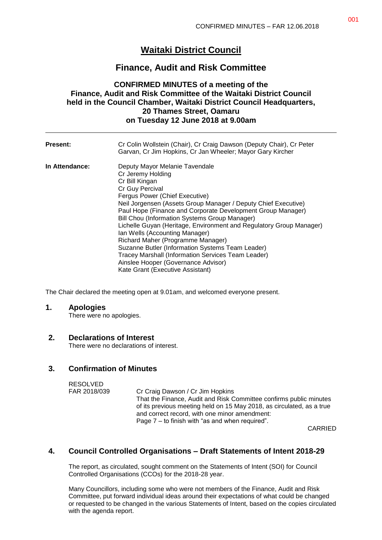# **Waitaki District Council**

# **Finance, Audit and Risk Committee**

## **CONFIRMED MINUTES of a meeting of the Finance, Audit and Risk Committee of the Waitaki District Council held in the Council Chamber, Waitaki District Council Headquarters, 20 Thames Street, Oamaru on Tuesday 12 June 2018 at 9.00am**

| <b>Present:</b> | Cr Colin Wollstein (Chair), Cr Craig Dawson (Deputy Chair), Cr Peter<br>Garvan, Cr Jim Hopkins, Cr Jan Wheeler; Mayor Gary Kircher                                                                                                                                                                                                                                                                                                                                                                                                                                                                                                              |
|-----------------|-------------------------------------------------------------------------------------------------------------------------------------------------------------------------------------------------------------------------------------------------------------------------------------------------------------------------------------------------------------------------------------------------------------------------------------------------------------------------------------------------------------------------------------------------------------------------------------------------------------------------------------------------|
| In Attendance:  | Deputy Mayor Melanie Tavendale<br>Cr Jeremy Holding<br>Cr Bill Kingan<br>Cr Guy Percival<br>Fergus Power (Chief Executive)<br>Neil Jorgensen (Assets Group Manager / Deputy Chief Executive)<br>Paul Hope (Finance and Corporate Development Group Manager)<br>Bill Chou (Information Systems Group Manager)<br>Lichelle Guyan (Heritage, Environment and Regulatory Group Manager)<br>Ian Wells (Accounting Manager)<br>Richard Maher (Programme Manager)<br>Suzanne Butler (Information Systems Team Leader)<br>Tracey Marshall (Information Services Team Leader)<br>Ainslee Hooper (Governance Advisor)<br>Kate Grant (Executive Assistant) |

The Chair declared the meeting open at 9.01am, and welcomed everyone present.

### **1. Apologies**

There were no apologies.

### **2. Declarations of Interest**

There were no declarations of interest.

# **3. Confirmation of Minutes**

| RESOLVED     |                                                                       |
|--------------|-----------------------------------------------------------------------|
| FAR 2018/039 | Cr Craig Dawson / Cr Jim Hopkins                                      |
|              | That the Finance, Audit and Risk Committee confirms public minutes    |
|              | of its previous meeting held on 15 May 2018, as circulated, as a true |
|              | and correct record, with one minor amendment:                         |
|              | Page $7 -$ to finish with "as and when required".                     |

CARRIED

## **4. Council Controlled Organisations – Draft Statements of Intent 2018-29**

The report, as circulated, sought comment on the Statements of Intent (SOI) for Council Controlled Organisations (CCOs) for the 2018-28 year.

Many Councillors, including some who were not members of the Finance, Audit and Risk Committee, put forward individual ideas around their expectations of what could be changed or requested to be changed in the various Statements of Intent, based on the copies circulated with the agenda report.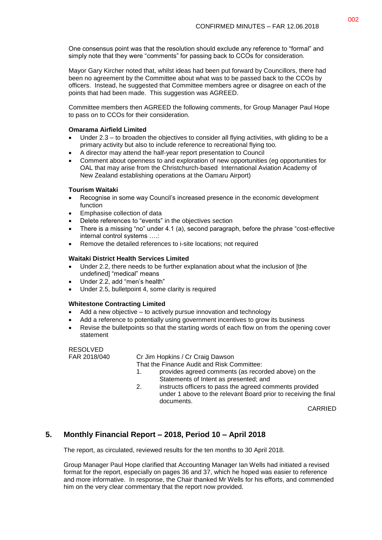One consensus point was that the resolution should exclude any reference to "formal" and simply note that they were "comments" for passing back to CCOs for consideration.

Mayor Gary Kircher noted that, whilst ideas had been put forward by Councillors, there had been no agreement by the Committee about what was to be passed back to the CCOs by officers. Instead, he suggested that Committee members agree or disagree on each of the points that had been made. This suggestion was AGREED.

Committee members then AGREED the following comments, for Group Manager Paul Hope to pass on to CCOs for their consideration.

#### **Omarama Airfield Limited**

- Under 2.3 to broaden the objectives to consider all flying activities, with gliding to be a primary activity but also to include reference to recreational flying too.
- A director may attend the half-year report presentation to Council
- Comment about openness to and exploration of new opportunities (eg opportunities for OAL that may arise from the Christchurch-based International Aviation Academy of New Zealand establishing operations at the Oamaru Airport)

#### **Tourism Waitaki**

- Recognise in some way Council's increased presence in the economic development function
- Emphasise collection of data
- Delete references to "events" in the objectives section
- There is a missing "no" under 4.1 (a), second paragraph, before the phrase "cost-effective internal control systems ….:
- Remove the detailed references to i-site locations; not required

#### **Waitaki District Health Services Limited**

- Under 2.2, there needs to be further explanation about what the inclusion of [the undefined] "medical" means
- Under 2.2, add "men's health"
- Under 2.5, bulletpoint 4, some clarity is required

#### **Whitestone Contracting Limited**

- Add a new objective to actively pursue innovation and technology
- Add a reference to potentially using government incentives to grow its business
- Revise the bulletpoints so that the starting words of each flow on from the opening cover statement

RESOLVED

FAR 2018/040 Cr Jim Hopkins / Cr Craig Dawson

That the Finance Audit and Risk Committee:

- 1. provides agreed comments (as recorded above) on the Statements of Intent as presented; and
- 2. instructs officers to pass the agreed comments provided under 1 above to the relevant Board prior to receiving the final documents.

CARRIED

# **5. Monthly Financial Report – 2018, Period 10 – April 2018**

The report, as circulated, reviewed results for the ten months to 30 April 2018.

Group Manager Paul Hope clarified that Accounting Manager Ian Wells had initiated a revised format for the report, especially on pages 36 and 37, which he hoped was easier to reference and more informative. In response, the Chair thanked Mr Wells for his efforts, and commended him on the very clear commentary that the report now provided.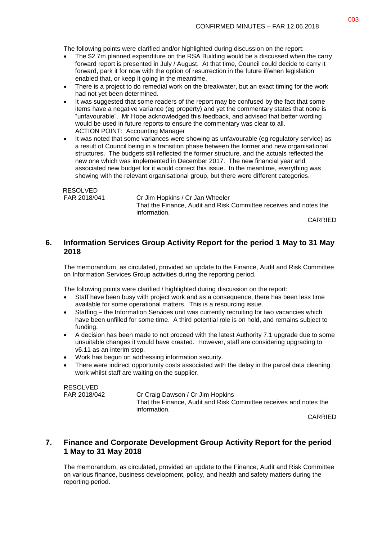The following points were clarified and/or highlighted during discussion on the report:

- The \$2.7m planned expenditure on the RSA Building would be a discussed when the carry forward report is presented in July / August. At that time, Council could decide to carry it forward, park it for now with the option of resurrection in the future if/when legislation enabled that, or keep it going in the meantime.
- There is a project to do remedial work on the breakwater, but an exact timing for the work had not yet been determined.
- It was suggested that some readers of the report may be confused by the fact that some items have a negative variance (eg property) and yet the commentary states that none is "unfavourable". Mr Hope acknowledged this feedback, and advised that better wording would be used in future reports to ensure the commentary was clear to all. ACTION POINT: Accounting Manager
- It was noted that some variances were showing as unfavourable (eg regulatory service) as a result of Council being in a transition phase between the former and new organisational structures. The budgets still reflected the former structure, and the actuals reflected the new one which was implemented in December 2017. The new financial year and associated new budget for it would correct this issue. In the meantime, everything was showing with the relevant organisational group, but there were different categories.

RESOLVED

FAR 2018/041 Cr Jim Hopkins / Cr Jan Wheeler That the Finance, Audit and Risk Committee receives and notes the information.

CARRIED

## **6. Information Services Group Activity Report for the period 1 May to 31 May 2018**

The memorandum, as circulated, provided an update to the Finance, Audit and Risk Committee on Information Services Group activities during the reporting period.

The following points were clarified / highlighted during discussion on the report:

- Staff have been busy with project work and as a consequence, there has been less time available for some operational matters. This is a resourcing issue.
- Staffing the Information Services unit was currently recruiting for two vacancies which have been unfilled for some time. A third potential role is on hold, and remains subject to funding.
- A decision has been made to not proceed with the latest Authority 7.1 upgrade due to some unsuitable changes it would have created. However, staff are considering upgrading to v6.11 as an interim step.
- Work has begun on addressing information security.
- There were indirect opportunity costs associated with the delay in the parcel data cleaning work whilst staff are waiting on the supplier.

RESOLVED

FAR 2018/042 Cr Craig Dawson / Cr Jim Hopkins That the Finance, Audit and Risk Committee receives and notes the information.

CARRIED

## **7. Finance and Corporate Development Group Activity Report for the period 1 May to 31 May 2018**

The memorandum, as circulated, provided an update to the Finance, Audit and Risk Committee on various finance, business development, policy, and health and safety matters during the reporting period.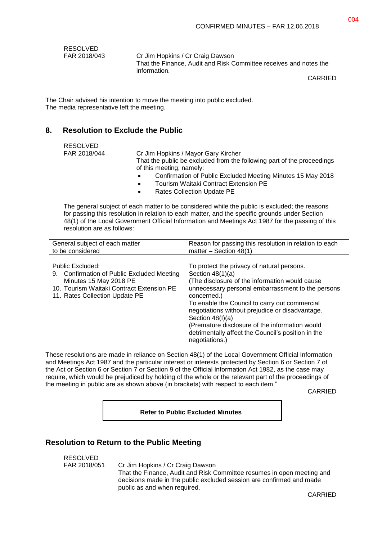| <b>RESOLVED</b> |  |
|-----------------|--|
| FAR 2018/043    |  |

Cr Jim Hopkins / Cr Craig Dawson That the Finance, Audit and Risk Committee receives and notes the information.

CARRIED

The Chair advised his intention to move the meeting into public excluded. The media representative left the meeting.

## **8. Resolution to Exclude the Public**

| <b>RESOLVED</b><br>FAR 2018/044 | Cr Jim Hopkins / Mayor Gary Kircher<br>That the public be excluded from the following part of the proceedings<br>of this meeting, namely:<br>Confirmation of Public Excluded Meeting Minutes 15 May 2018<br>$\bullet$<br>Tourism Waitaki Contract Extension PE<br>$\bullet$<br><b>Rates Collection Update PE</b> |
|---------------------------------|------------------------------------------------------------------------------------------------------------------------------------------------------------------------------------------------------------------------------------------------------------------------------------------------------------------|
|                                 | $\bullet$                                                                                                                                                                                                                                                                                                        |

The general subject of each matter to be considered while the public is excluded; the reasons for passing this resolution in relation to each matter, and the specific grounds under Section 48(1) of the Local Government Official Information and Meetings Act 1987 for the passing of this resolution are as follows:

| General subject of each matter                                                                                                                                          | Reason for passing this resolution in relation to each                                                                                                                                                                                                                                                                                                                                                                                      |
|-------------------------------------------------------------------------------------------------------------------------------------------------------------------------|---------------------------------------------------------------------------------------------------------------------------------------------------------------------------------------------------------------------------------------------------------------------------------------------------------------------------------------------------------------------------------------------------------------------------------------------|
| to be considered                                                                                                                                                        | matter $-$ Section 48(1)                                                                                                                                                                                                                                                                                                                                                                                                                    |
| Public Excluded:<br>9. Confirmation of Public Excluded Meeting<br>Minutes 15 May 2018 PE<br>10. Tourism Waitaki Contract Extension PE<br>11. Rates Collection Update PE | To protect the privacy of natural persons.<br>Section $48(1)(a)$<br>(The disclosure of the information would cause)<br>unnecessary personal embarrassment to the persons<br>concerned.)<br>To enable the Council to carry out commercial<br>negotiations without prejudice or disadvantage.<br>Section $48(l)(a)$<br>(Premature disclosure of the information would<br>detrimentally affect the Council's position in the<br>negotiations.) |

These resolutions are made in reliance on Section 48(1) of the Local Government Official Information and Meetings Act 1987 and the particular interest or interests protected by Section 6 or Section 7 of the Act or Section 6 or Section 7 or Section 9 of the Official Information Act 1982, as the case may require, which would be prejudiced by holding of the whole or the relevant part of the proceedings of the meeting in public are as shown above (in brackets) with respect to each item."

CARRIED

**Refer to Public Excluded Minutes**

### **Resolution to Return to the Public Meeting**

RESOLVED

FAR 2018/051 Cr Jim Hopkins / Cr Craig Dawson That the Finance, Audit and Risk Committee resumes in open meeting and decisions made in the public excluded session are confirmed and made public as and when required.